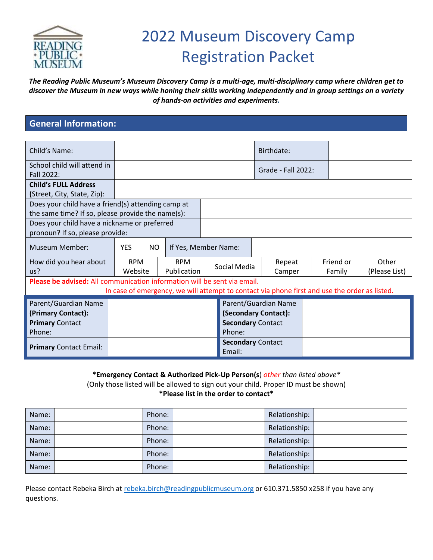

# 2022 Museum Discovery Camp Registration Packet

*The Reading Public Museum's Museum Discovery Camp is a multi-age, multi-disciplinary camp where children get to discover the Museum in new ways while honing their skills working independently and in group settings on a variety of hands-on activities and experiments.*

# **General Information:**

| Child's Name:                                                            |                                                                                               |             |  |                                    |  | Birthdate:           |  |           |               |
|--------------------------------------------------------------------------|-----------------------------------------------------------------------------------------------|-------------|--|------------------------------------|--|----------------------|--|-----------|---------------|
| School child will attend in<br>Fall 2022:                                |                                                                                               |             |  |                                    |  | Grade - Fall 2022:   |  |           |               |
| <b>Child's FULL Address</b>                                              |                                                                                               |             |  |                                    |  |                      |  |           |               |
| (Street, City, State, Zip):                                              |                                                                                               |             |  |                                    |  |                      |  |           |               |
| Does your child have a friend(s) attending camp at                       |                                                                                               |             |  |                                    |  |                      |  |           |               |
| the same time? If so, please provide the name(s):                        |                                                                                               |             |  |                                    |  |                      |  |           |               |
| Does your child have a nickname or preferred                             |                                                                                               |             |  |                                    |  |                      |  |           |               |
| pronoun? If so, please provide:                                          |                                                                                               |             |  |                                    |  |                      |  |           |               |
| Museum Member:                                                           | <b>YES</b><br>NO.<br>If Yes, Member Name:                                                     |             |  |                                    |  |                      |  |           |               |
| How did you hear about                                                   | <b>RPM</b>                                                                                    | <b>RPM</b>  |  |                                    |  | Repeat               |  | Friend or | Other         |
| us?                                                                      | Website                                                                                       | Publication |  | Social Media                       |  | Camper               |  | Family    | (Please List) |
| Please be advised: All communication information will be sent via email. |                                                                                               |             |  |                                    |  |                      |  |           |               |
|                                                                          | In case of emergency, we will attempt to contact via phone first and use the order as listed. |             |  |                                    |  |                      |  |           |               |
| Parent/Guardian Name                                                     |                                                                                               |             |  |                                    |  | Parent/Guardian Name |  |           |               |
| (Primary Contact):                                                       |                                                                                               |             |  |                                    |  | (Secondary Contact): |  |           |               |
| <b>Primary Contact</b>                                                   |                                                                                               |             |  | <b>Secondary Contact</b>           |  |                      |  |           |               |
| Phone:                                                                   |                                                                                               | Phone:      |  |                                    |  |                      |  |           |               |
| <b>Primary Contact Email:</b>                                            |                                                                                               |             |  | <b>Secondary Contact</b><br>Email: |  |                      |  |           |               |

**\*Emergency Contact & Authorized Pick-Up Person(s**) *other than listed above\** (Only those listed will be allowed to sign out your child. Proper ID must be shown) **\*Please list in the order to contact\***

| Name: | Phone: | Relationship: |  |
|-------|--------|---------------|--|
| Name: | Phone: | Relationship: |  |
| Name: | Phone: | Relationship: |  |
| Name: | Phone: | Relationship: |  |
| Name: | Phone: | Relationship: |  |

Please contact Rebeka Birch at [rebeka.birch@readingpublicmuseum.org](mailto:rebeka.birch@readingpublicmuseum.org) or 610.371.5850 x258 if you have any questions.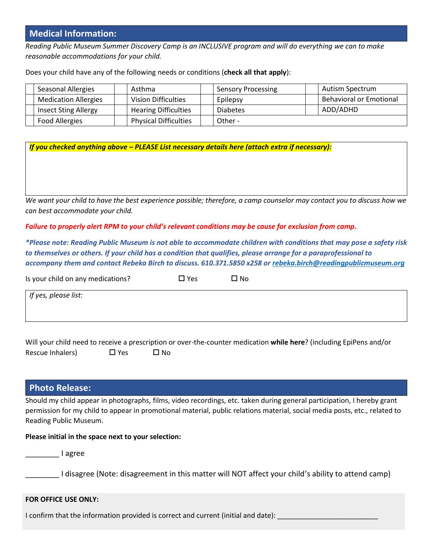## **Medical Information:**

*Reading Public Museum Summer Discovery Camp is an INCLUSIVE program and will do everything we can to make reasonable accommodations for your child.* 

Does your child have any of the following needs or conditions (**check all that apply**):

| <b>Seasonal Allergies</b>   | Asthma                       | <b>Sensory Processing</b> | Autism Spectrum                |
|-----------------------------|------------------------------|---------------------------|--------------------------------|
| <b>Medication Allergies</b> | <b>Vision Difficulties</b>   | Epilepsy                  | <b>Behavioral or Emotional</b> |
| <b>Insect Sting Allergy</b> | <b>Hearing Difficulties</b>  | <b>Diabetes</b>           | ADD/ADHD                       |
| <b>Food Allergies</b>       | <b>Physical Difficulties</b> | Other -                   |                                |

*If you checked anything above – PLEASE List necessary details here (attach extra if necessary):*

*We want your child to have the best experience possible; therefore, a camp counselor may contact you to discuss how we can best accommodate your child.*

*Failure to properly alert RPM to your child's relevant conditions may be cause for exclusion from camp.*

*\*Please note: Reading Public Museum is not able to accommodate children with conditions that may pose a safety risk to themselves or others. If your child has a condition that qualifies, please arrange for a paraprofessional to accompany them and contact Rebeka Birch to discuss. 610.371.5850 x258 or [rebeka.birch@readingpublicmuseum.org](mailto:rebeka.birch@readingpublicmuseum.org)*

| Is your child on any medications? | $\square$ Yes | □ No |
|-----------------------------------|---------------|------|
| If yes, please list:              |               |      |
|                                   |               |      |

Will your child need to receive a prescription or over-the-counter medication **while here**? (including EpiPens and/or Rescue Inhalers)  $\Box$  Yes  $\Box$  No

## **Photo Release:**

Should my child appear in photographs, films, video recordings, etc. taken during general participation, I hereby grant permission for my child to appear in promotional material, public relations material, social media posts, etc., related to Reading Public Museum.

#### **Please initial in the space next to your selection:**

\_\_\_\_\_\_\_\_ I agree

I disagree (Note: disagreement in this matter will NOT affect your child's ability to attend camp)

#### **FOR OFFICE USE ONLY:**

I confirm that the information provided is correct and current (initial and date):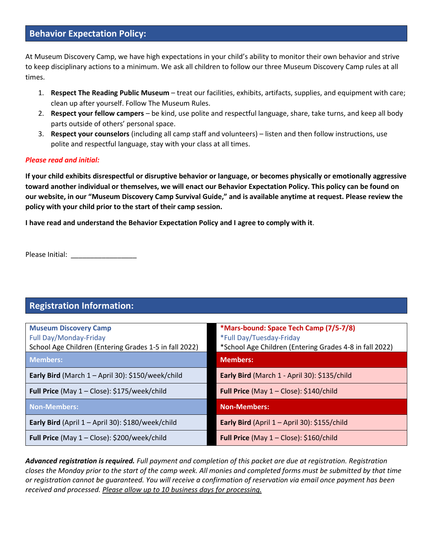# **Behavior Expectation Policy:**

At Museum Discovery Camp, we have high expectations in your child's ability to monitor their own behavior and strive to keep disciplinary actions to a minimum. We ask all children to follow our three Museum Discovery Camp rules at all times.

- 1. **Respect The Reading Public Museum** treat our facilities, exhibits, artifacts, supplies, and equipment with care; clean up after yourself. Follow The Museum Rules.
- 2. **Respect your fellow campers** be kind, use polite and respectful language, share, take turns, and keep all body parts outside of others' personal space.
- 3. **Respect your counselors** (including all camp staff and volunteers) listen and then follow instructions, use polite and respectful language, stay with your class at all times.

#### *Please read and initial:*

**If your child exhibits disrespectful or disruptive behavior or language, or becomes physically or emotionally aggressive toward another individual or themselves, we will enact our Behavior Expectation Policy. This policy can be found on our website, in our "Museum Discovery Camp Survival Guide," and is available anytime at request. Please review the policy with your child prior to the start of their camp session.** 

**I have read and understand the Behavior Expectation Policy and I agree to comply with it**.

Please Initial: \_\_\_\_\_\_\_\_\_\_\_\_\_\_\_\_\_

# **Registration Information:**

| <b>Museum Discovery Camp</b><br>Full Day/Monday-Friday | *Mars-bound: Space Tech Camp (7/5-7/8)<br>*Full Day/Tuesday-Friday |
|--------------------------------------------------------|--------------------------------------------------------------------|
| School Age Children (Entering Grades 1-5 in fall 2022) | *School Age Children (Entering Grades 4-8 in fall 2022)            |
| <b>Members:</b>                                        | <b>Members:</b>                                                    |
| Early Bird (March 1 - April 30): \$150/week/child      | Early Bird (March 1 - April 30): \$135/child                       |
| Full Price (May 1 - Close): \$175/week/child           | Full Price (May $1 -$ Close): \$140/child                          |
| Non-Members:                                           | <b>Non-Members:</b>                                                |
| Early Bird (April $1 -$ April 30): \$180/week/child    | Early Bird (April $1 -$ April 30): \$155/child                     |
| Full Price (May 1 - Close): \$200/week/child           | Full Price (May $1 -$ Close): \$160/child                          |

*Advanced registration is required. Full payment and completion of this packet are due at registration. Registration closes the Monday prior to the start of the camp week. All monies and completed forms must be submitted by that time or registration cannot be guaranteed. You will receive a confirmation of reservation via email once payment has been received and processed. Please allow up to 10 business days for processing.*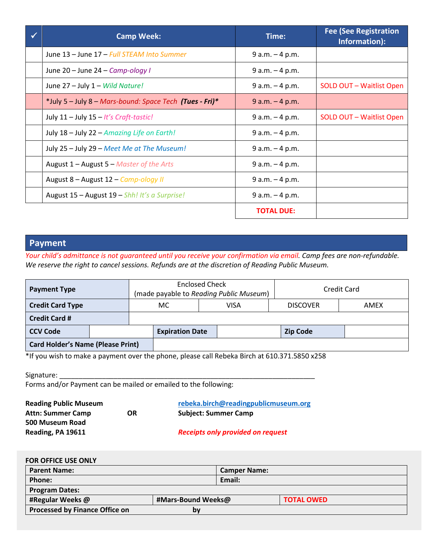| <b>Camp Week:</b>                                       | Time:             | <b>Fee (See Registration</b><br>Information): |
|---------------------------------------------------------|-------------------|-----------------------------------------------|
| June 13 - June 17 - Full STEAM Into Summer              | $9 a.m. - 4 p.m.$ |                                               |
| June 20 - June 24 - Camp-ology I                        | $9 a.m. - 4 p.m.$ |                                               |
| June 27 - July 1 - Wild Nature!                         | $9 a.m. - 4 p.m.$ | SOLD OUT - Waitlist Open                      |
| *July 5 - July 8 - Mars-bound: Space Tech (Tues - Fri)* | $9 a.m. - 4 p.m.$ |                                               |
| July $11 -$ July $15 -$ It's Craft-tastic!              | $9 a.m. - 4 p.m.$ | SOLD OUT - Waitlist Open                      |
| July 18 - July 22 - Amazing Life on Earth!              | $9 a.m. - 4 p.m.$ |                                               |
| July 25 - July 29 - Meet Me at The Museum!              | $9 a.m. - 4 p.m.$ |                                               |
| August $1 -$ August $5 -$ Master of the Arts            | $9 a.m. - 4 p.m.$ |                                               |
| August 8 - August 12 - Camp-ology II                    | $9 a.m. - 4 p.m.$ |                                               |
| August 15 - August 19 - Shh! It's a Surprise!           | $9 a.m. - 4 p.m.$ |                                               |
|                                                         | <b>TOTAL DUE:</b> |                                               |

## **Payment**

*Your child's admittance is not guaranteed until you receive your confirmation via email. Camp fees are non-refundable. We reserve the right to cancel sessions. Refunds are at the discretion of Reading Public Museum.* 

| <b>Payment Type</b>                                                                              |  | <b>Enclosed Check</b> | (made payable to Reading Public Museum) |             | <b>Credit Card</b> |      |  |
|--------------------------------------------------------------------------------------------------|--|-----------------------|-----------------------------------------|-------------|--------------------|------|--|
| <b>Credit Card Type</b>                                                                          |  |                       | MC.                                     | <b>VISA</b> | <b>DISCOVER</b>    | AMEX |  |
| <b>Credit Card #</b>                                                                             |  |                       |                                         |             |                    |      |  |
| <b>CCV Code</b>                                                                                  |  |                       | <b>Expiration Date</b>                  |             | <b>Zip Code</b>    |      |  |
| <b>Card Holder's Name (Please Print)</b>                                                         |  |                       |                                         |             |                    |      |  |
| $*$ If you wish to make a normant over the phone, please sall Beholse Birsh of C10 271 EQEQ v2EQ |  |                       |                                         |             |                    |      |  |

If you wish to make a payment over the phone, please call Rebeka Birch at  $610.371.5850$  x258  $^{\circ}$ 

| Signature:                                                      |  |
|-----------------------------------------------------------------|--|
| Forms and/or Payment can be mailed or emailed to the following: |  |

**Reading Public Museum [rebeka.birch@readingpublicmuseum.org](mailto:rebeka.birch@readingpublicmuseum.org) Attn: Summer Camp OR Subject: Summer Camp 500 Museum Road**

**Reading, PA 19611** *Receipts only provided on request*

| <b>FOR OFFICE USE ONLY</b>            |                    |                     |                   |
|---------------------------------------|--------------------|---------------------|-------------------|
| <b>Parent Name:</b>                   |                    | <b>Camper Name:</b> |                   |
| Phone:                                |                    | Email:              |                   |
| <b>Program Dates:</b>                 |                    |                     |                   |
| #Regular Weeks @                      | #Mars-Bound Weeks@ |                     | <b>TOTAL OWED</b> |
| <b>Processed by Finance Office on</b> | b٧                 |                     |                   |